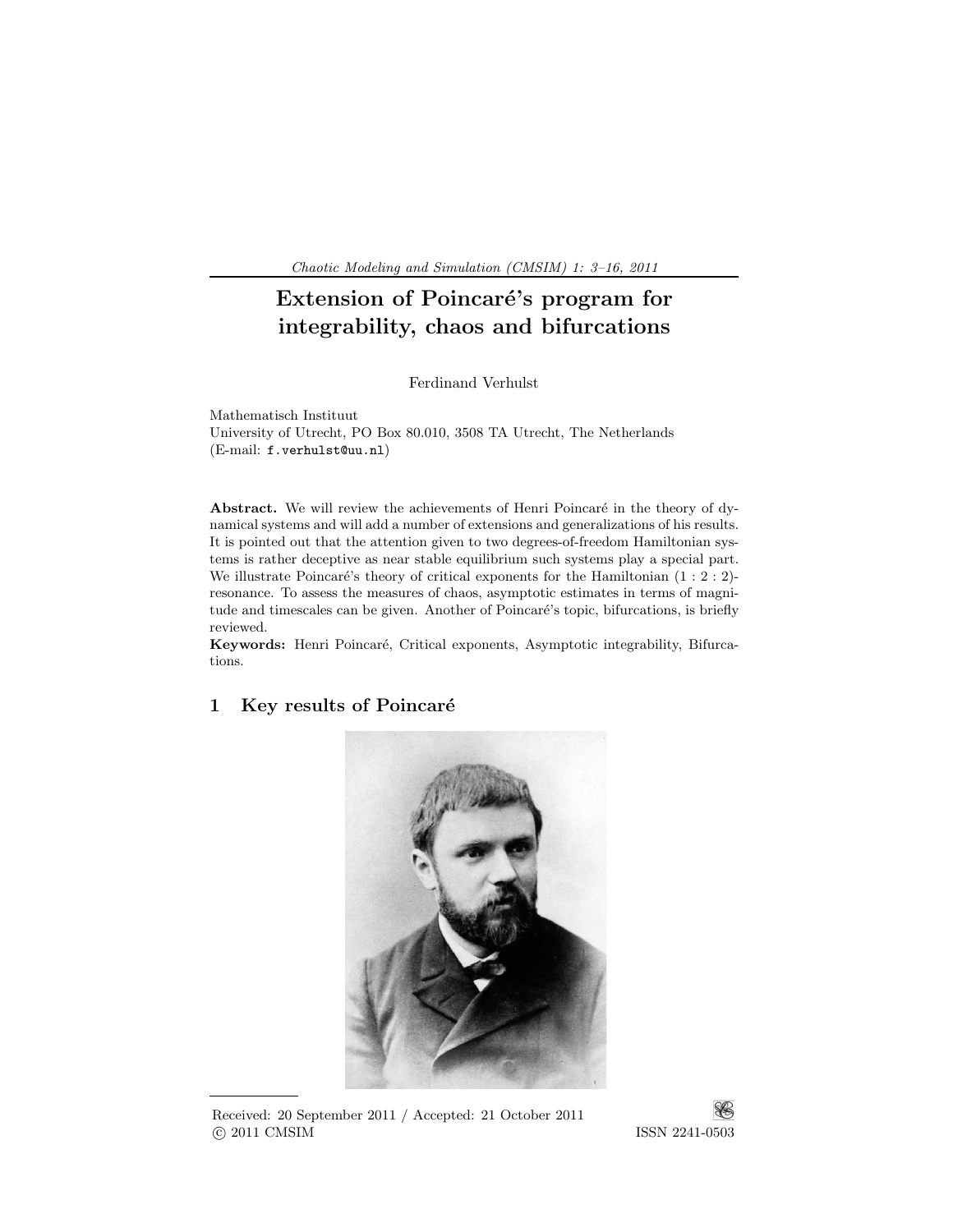Chaotic Modeling and Simulation (CMSIM) 1: 3–16, 2011 .

# Extension of Poincaré's program for integrability, chaos and bifurcations

Ferdinand Verhulst

Mathematisch Instituut University of Utrecht, PO Box 80.010, 3508 TA Utrecht, The Netherlands (E-mail: f.verhulst@uu.nl)

Abstract. We will review the achievements of Henri Poincaré in the theory of dynamical systems and will add a number of extensions and generalizations of his results. It is pointed out that the attention given to two degrees-of-freedom Hamiltonian systems is rather deceptive as near stable equilibrium such systems play a special part. We illustrate Poincaré's theory of critical exponents for the Hamiltonian  $(1 : 2 : 2)$ resonance. To assess the measures of chaos, asymptotic estimates in terms of magnitude and timescales can be given. Another of Poincaré's topic, bifurcations, is briefly reviewed.

Keywords: Henri Poincar´e, Critical exponents, Asymptotic integrability, Bifurcations.



# 1 Key results of Poincaré

Received: 20 September 2011 / Accepted: 21 October 2011 c 2011 CMSIM ISSN 2241-0503

¥S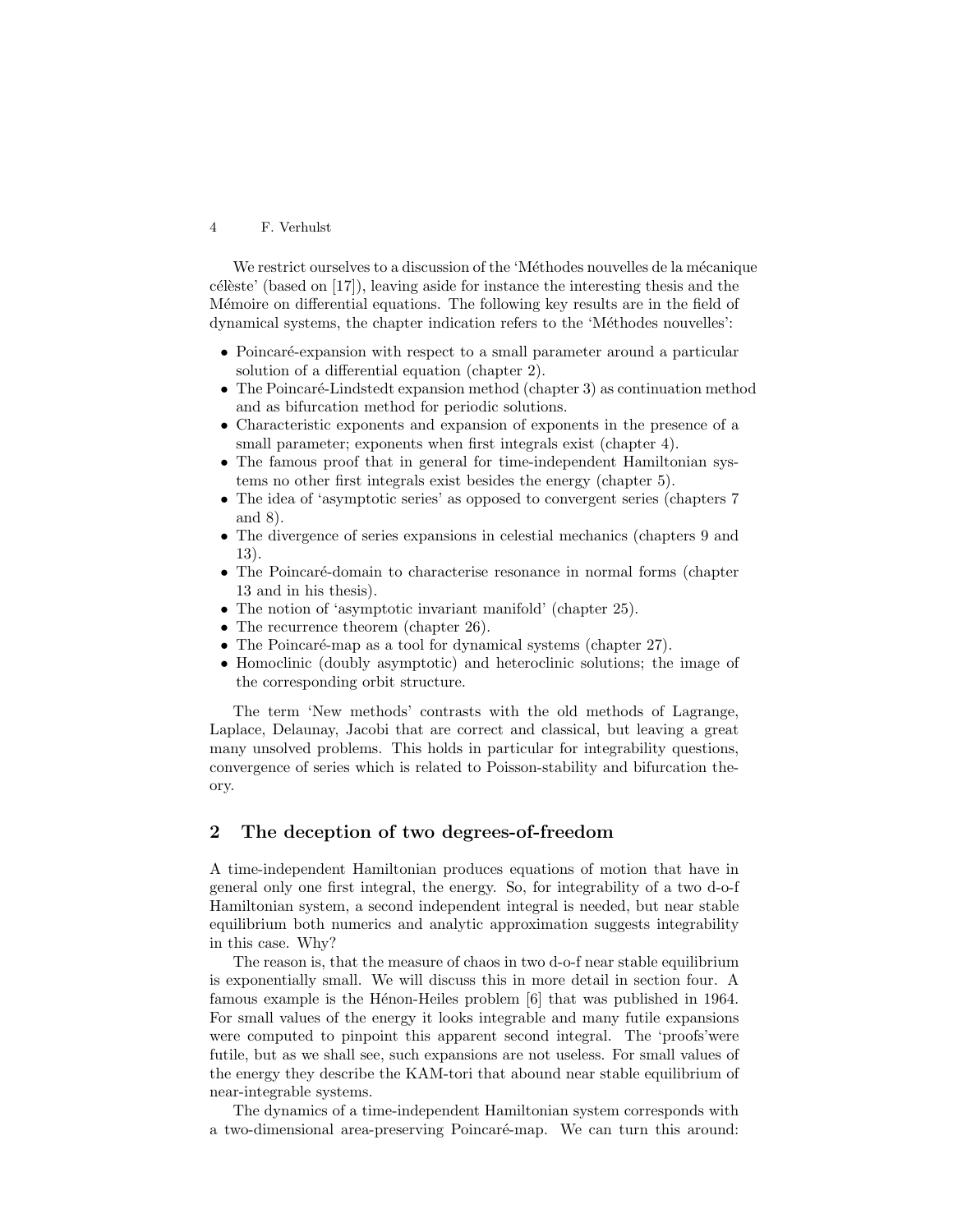We restrict ourselves to a discussion of the 'Méthodes nouvelles de la mécanique  $c\acute{e}$ lèste' (based on [17]), leaving aside for instance the interesting thesis and the Mémoire on differential equations. The following key results are in the field of dynamical systems, the chapter indication refers to the 'Méthodes nouvelles':

- Poincaré-expansion with respect to a small parameter around a particular solution of a differential equation (chapter 2).
- The Poincaré-Lindstedt expansion method (chapter 3) as continuation method and as bifurcation method for periodic solutions.
- Characteristic exponents and expansion of exponents in the presence of a small parameter; exponents when first integrals exist (chapter 4).
- The famous proof that in general for time-independent Hamiltonian systems no other first integrals exist besides the energy (chapter 5).
- The idea of 'asymptotic series' as opposed to convergent series (chapters 7) and 8).
- The divergence of series expansions in celestial mechanics (chapters 9 and 13).
- The Poincaré-domain to characterise resonance in normal forms (chapter 13 and in his thesis).
- The notion of 'asymptotic invariant manifold' (chapter 25).
- The recurrence theorem (chapter 26).
- The Poincaré-map as a tool for dynamical systems (chapter  $27$ ).
- Homoclinic (doubly asymptotic) and heteroclinic solutions; the image of the corresponding orbit structure.

The term 'New methods' contrasts with the old methods of Lagrange, Laplace, Delaunay, Jacobi that are correct and classical, but leaving a great many unsolved problems. This holds in particular for integrability questions, convergence of series which is related to Poisson-stability and bifurcation theory.

# 2 The deception of two degrees-of-freedom

A time-independent Hamiltonian produces equations of motion that have in general only one first integral, the energy. So, for integrability of a two d-o-f Hamiltonian system, a second independent integral is needed, but near stable equilibrium both numerics and analytic approximation suggests integrability in this case. Why?

The reason is, that the measure of chaos in two d-o-f near stable equilibrium is exponentially small. We will discuss this in more detail in section four. A famous example is the Hénon-Heiles problem [6] that was published in 1964. For small values of the energy it looks integrable and many futile expansions were computed to pinpoint this apparent second integral. The 'proofs'were futile, but as we shall see, such expansions are not useless. For small values of the energy they describe the KAM-tori that abound near stable equilibrium of near-integrable systems.

The dynamics of a time-independent Hamiltonian system corresponds with a two-dimensional area-preserving Poincaré-map. We can turn this around: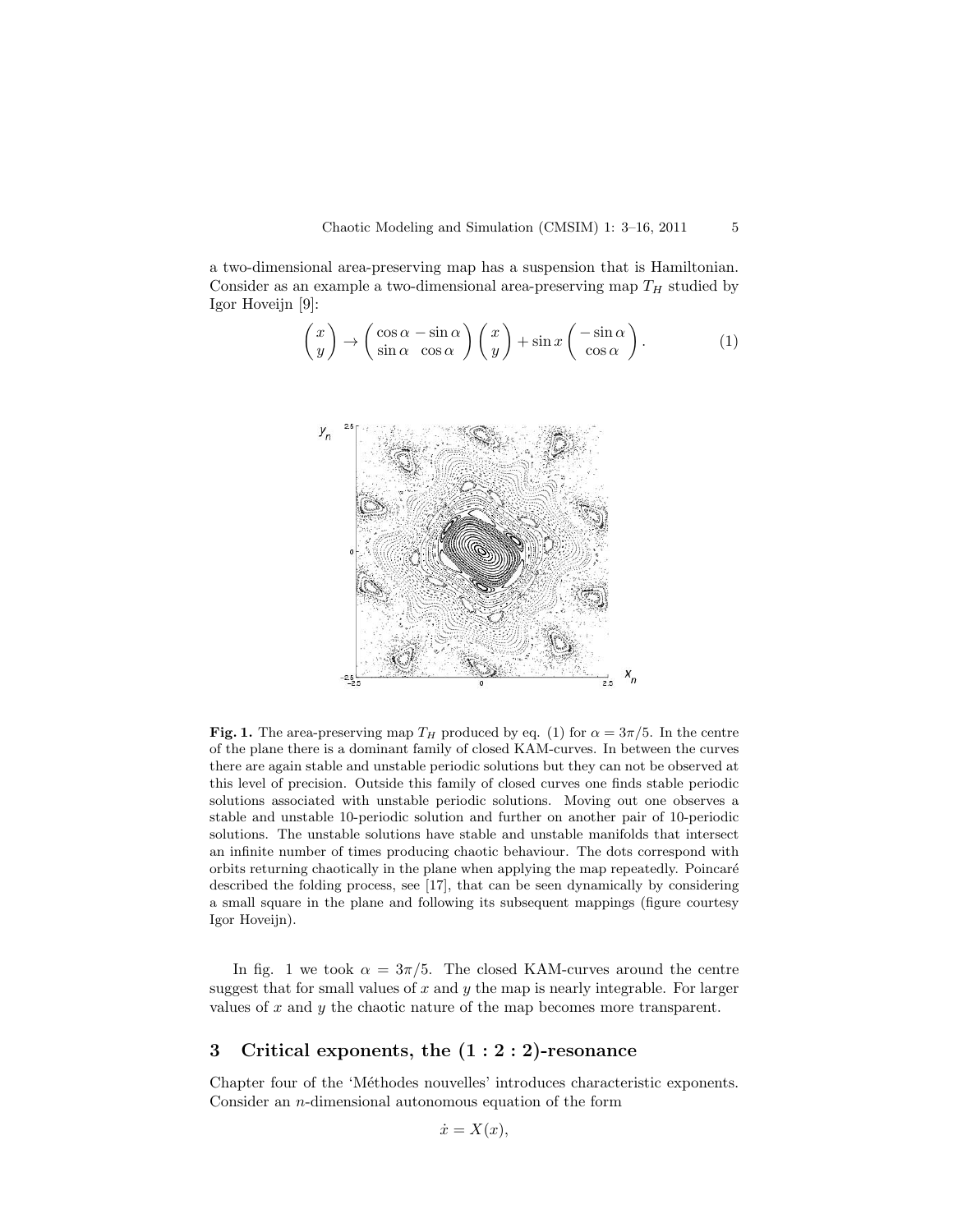a two-dimensional area-preserving map has a suspension that is Hamiltonian. Consider as an example a two-dimensional area-preserving map  $T_H$  studied by Igor Hoveijn [9]:

$$
\begin{pmatrix} x \\ y \end{pmatrix} \to \begin{pmatrix} \cos \alpha - \sin \alpha \\ \sin \alpha & \cos \alpha \end{pmatrix} \begin{pmatrix} x \\ y \end{pmatrix} + \sin x \begin{pmatrix} -\sin \alpha \\ \cos \alpha \end{pmatrix}.
$$
 (1)



Fig. 1. The area-preserving map  $T_H$  produced by eq. (1) for  $\alpha = 3\pi/5$ . In the centre of the plane there is a dominant family of closed KAM-curves. In between the curves there are again stable and unstable periodic solutions but they can not be observed at this level of precision. Outside this family of closed curves one finds stable periodic solutions associated with unstable periodic solutions. Moving out one observes a stable and unstable 10-periodic solution and further on another pair of 10-periodic solutions. The unstable solutions have stable and unstable manifolds that intersect an infinite number of times producing chaotic behaviour. The dots correspond with orbits returning chaotically in the plane when applying the map repeatedly. Poincar´e described the folding process, see [17], that can be seen dynamically by considering a small square in the plane and following its subsequent mappings (figure courtesy Igor Hoveijn).

In fig. 1 we took  $\alpha = 3\pi/5$ . The closed KAM-curves around the centre suggest that for small values of x and y the map is nearly integrable. For larger values of  $x$  and  $y$  the chaotic nature of the map becomes more transparent.

# 3 Critical exponents, the (1 : 2 : 2)-resonance

Chapter four of the 'Méthodes nouvelles' introduces characteristic exponents. Consider an n-dimensional autonomous equation of the form

$$
\dot{x} = X(x),
$$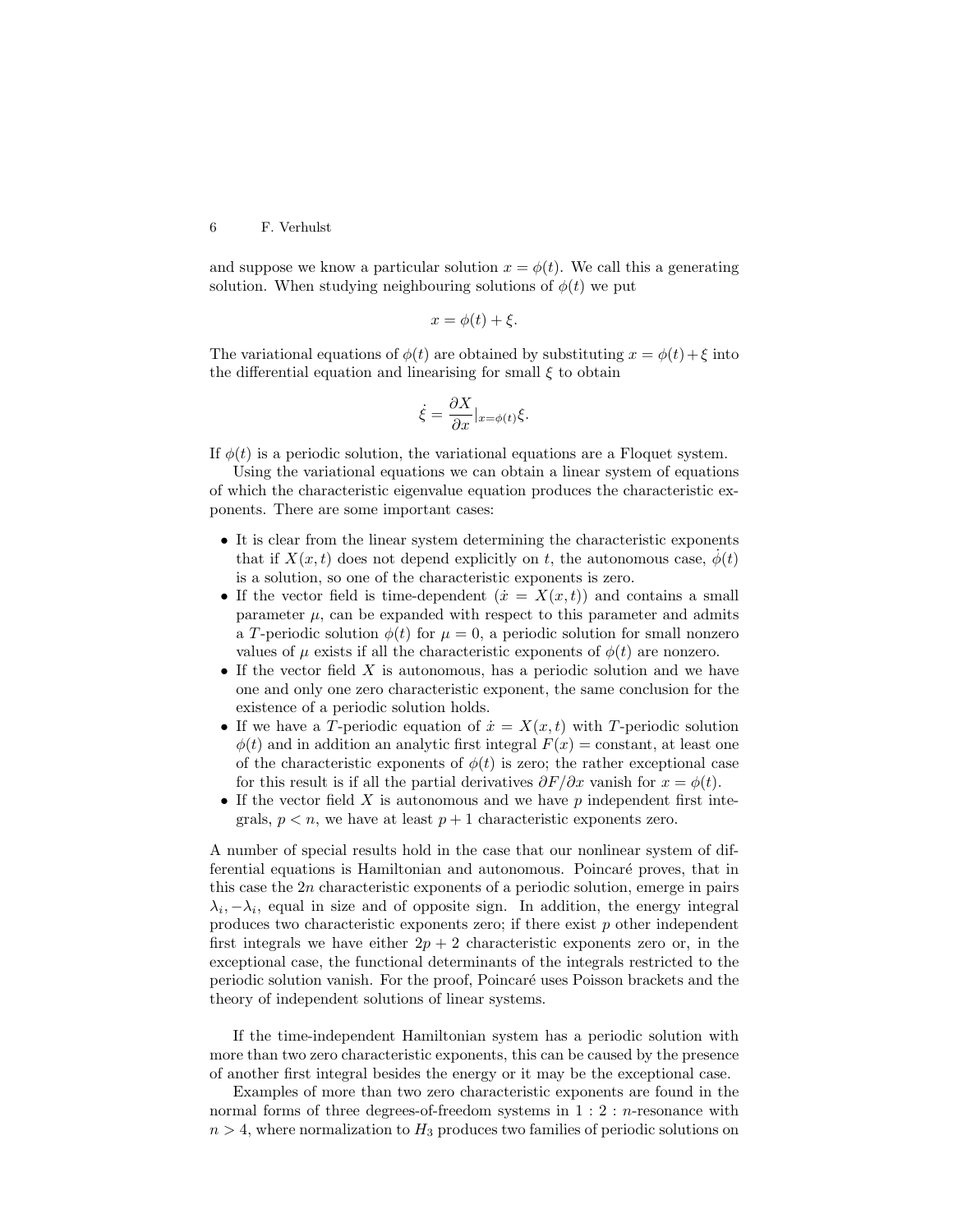and suppose we know a particular solution  $x = \phi(t)$ . We call this a generating solution. When studying neighbouring solutions of  $\phi(t)$  we put

$$
x = \phi(t) + \xi.
$$

The variational equations of  $\phi(t)$  are obtained by substituting  $x = \phi(t) + \xi$  into the differential equation and linearising for small  $\xi$  to obtain

$$
\dot{\xi} = \frac{\partial X}{\partial x}|_{x = \phi(t)} \xi.
$$

If  $\phi(t)$  is a periodic solution, the variational equations are a Floquet system.

Using the variational equations we can obtain a linear system of equations of which the characteristic eigenvalue equation produces the characteristic exponents. There are some important cases:

- It is clear from the linear system determining the characteristic exponents that if  $X(x, t)$  does not depend explicitly on t, the autonomous case,  $\phi(t)$ is a solution, so one of the characteristic exponents is zero.
- If the vector field is time-dependent  $(\dot{x} = X(x,t))$  and contains a small parameter  $\mu$ , can be expanded with respect to this parameter and admits a T-periodic solution  $\phi(t)$  for  $\mu = 0$ , a periodic solution for small nonzero values of  $\mu$  exists if all the characteristic exponents of  $\phi(t)$  are nonzero.
- If the vector field  $X$  is autonomous, has a periodic solution and we have one and only one zero characteristic exponent, the same conclusion for the existence of a periodic solution holds.
- If we have a T-periodic equation of  $\dot{x} = X(x, t)$  with T-periodic solution  $\phi(t)$  and in addition an analytic first integral  $F(x) = constant$ , at least one of the characteristic exponents of  $\phi(t)$  is zero; the rather exceptional case for this result is if all the partial derivatives  $\partial F/\partial x$  vanish for  $x = \phi(t)$ .
- If the vector field  $X$  is autonomous and we have  $p$  independent first integrals,  $p < n$ , we have at least  $p + 1$  characteristic exponents zero.

A number of special results hold in the case that our nonlinear system of differential equations is Hamiltonian and autonomous. Poincaré proves, that in this case the  $2n$  characteristic exponents of a periodic solution, emerge in pairs  $\lambda_i, -\lambda_i$ , equal in size and of opposite sign. In addition, the energy integral produces two characteristic exponents zero; if there exist  $p$  other independent first integrals we have either  $2p + 2$  characteristic exponents zero or, in the exceptional case, the functional determinants of the integrals restricted to the periodic solution vanish. For the proof, Poincaré uses Poisson brackets and the theory of independent solutions of linear systems.

If the time-independent Hamiltonian system has a periodic solution with more than two zero characteristic exponents, this can be caused by the presence of another first integral besides the energy or it may be the exceptional case.

Examples of more than two zero characteristic exponents are found in the normal forms of three degrees-of-freedom systems in  $1:2:$  *n*-resonance with  $n > 4$ , where normalization to  $H_3$  produces two families of periodic solutions on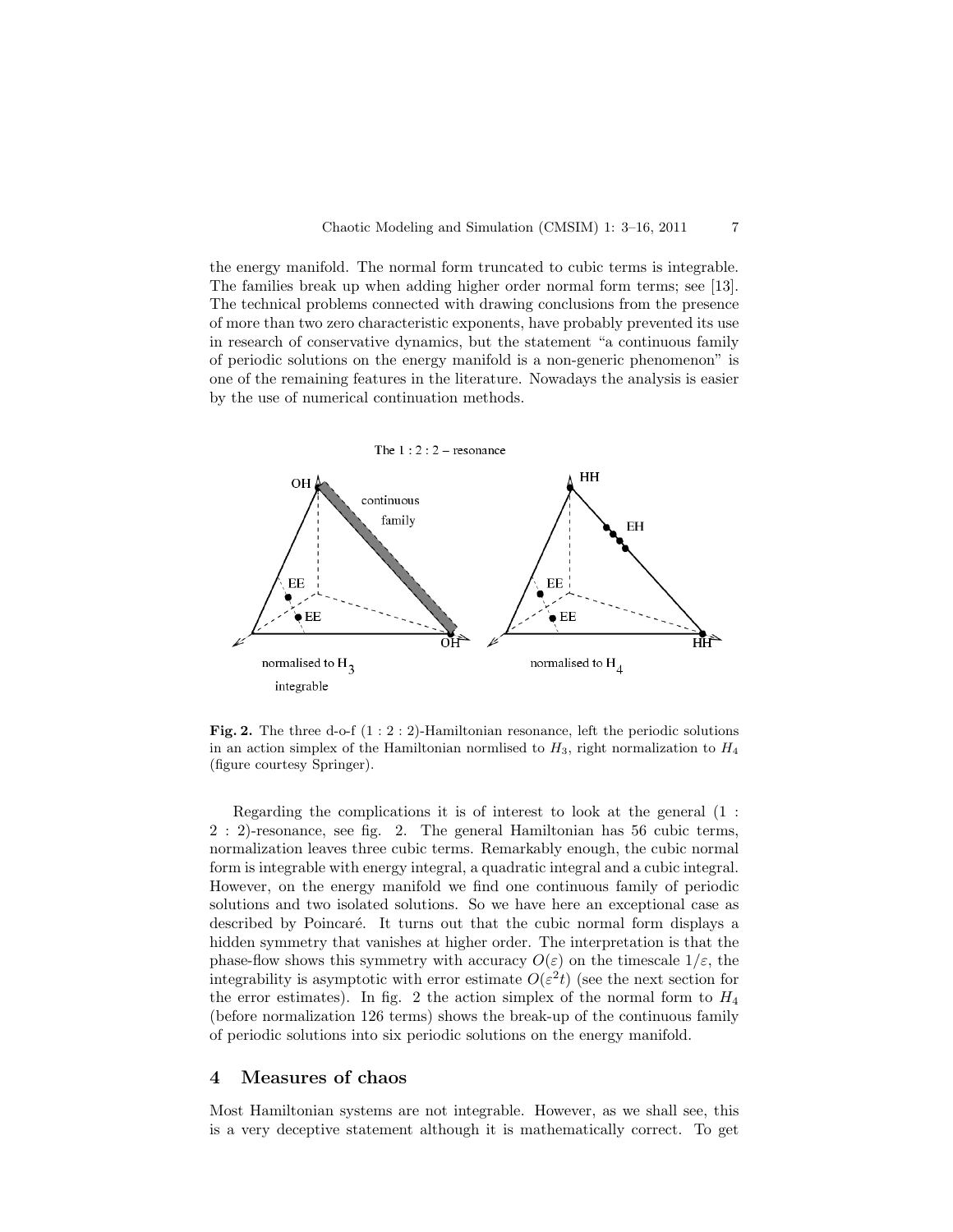the energy manifold. The normal form truncated to cubic terms is integrable. The families break up when adding higher order normal form terms; see [13]. The technical problems connected with drawing conclusions from the presence of more than two zero characteristic exponents, have probably prevented its use in research of conservative dynamics, but the statement "a continuous family of periodic solutions on the energy manifold is a non-generic phenomenon" is one of the remaining features in the literature. Nowadays the analysis is easier by the use of numerical continuation methods.



**Fig. 2.** The three d-o-f  $(1:2:2)$ -Hamiltonian resonance, left the periodic solutions in an action simplex of the Hamiltonian normlised to  $H_3$ , right normalization to  $H_4$ (figure courtesy Springer).

Regarding the complications it is of interest to look at the general (1 : 2 : 2)-resonance, see fig. 2. The general Hamiltonian has 56 cubic terms, normalization leaves three cubic terms. Remarkably enough, the cubic normal form is integrable with energy integral, a quadratic integral and a cubic integral. However, on the energy manifold we find one continuous family of periodic solutions and two isolated solutions. So we have here an exceptional case as described by Poincaré. It turns out that the cubic normal form displays a hidden symmetry that vanishes at higher order. The interpretation is that the phase-flow shows this symmetry with accuracy  $O(\varepsilon)$  on the timescale  $1/\varepsilon$ , the integrability is asymptotic with error estimate  $O(\varepsilon^2 t)$  (see the next section for the error estimates). In fig. 2 the action simplex of the normal form to  $H_4$ (before normalization 126 terms) shows the break-up of the continuous family of periodic solutions into six periodic solutions on the energy manifold.

# 4 Measures of chaos

Most Hamiltonian systems are not integrable. However, as we shall see, this is a very deceptive statement although it is mathematically correct. To get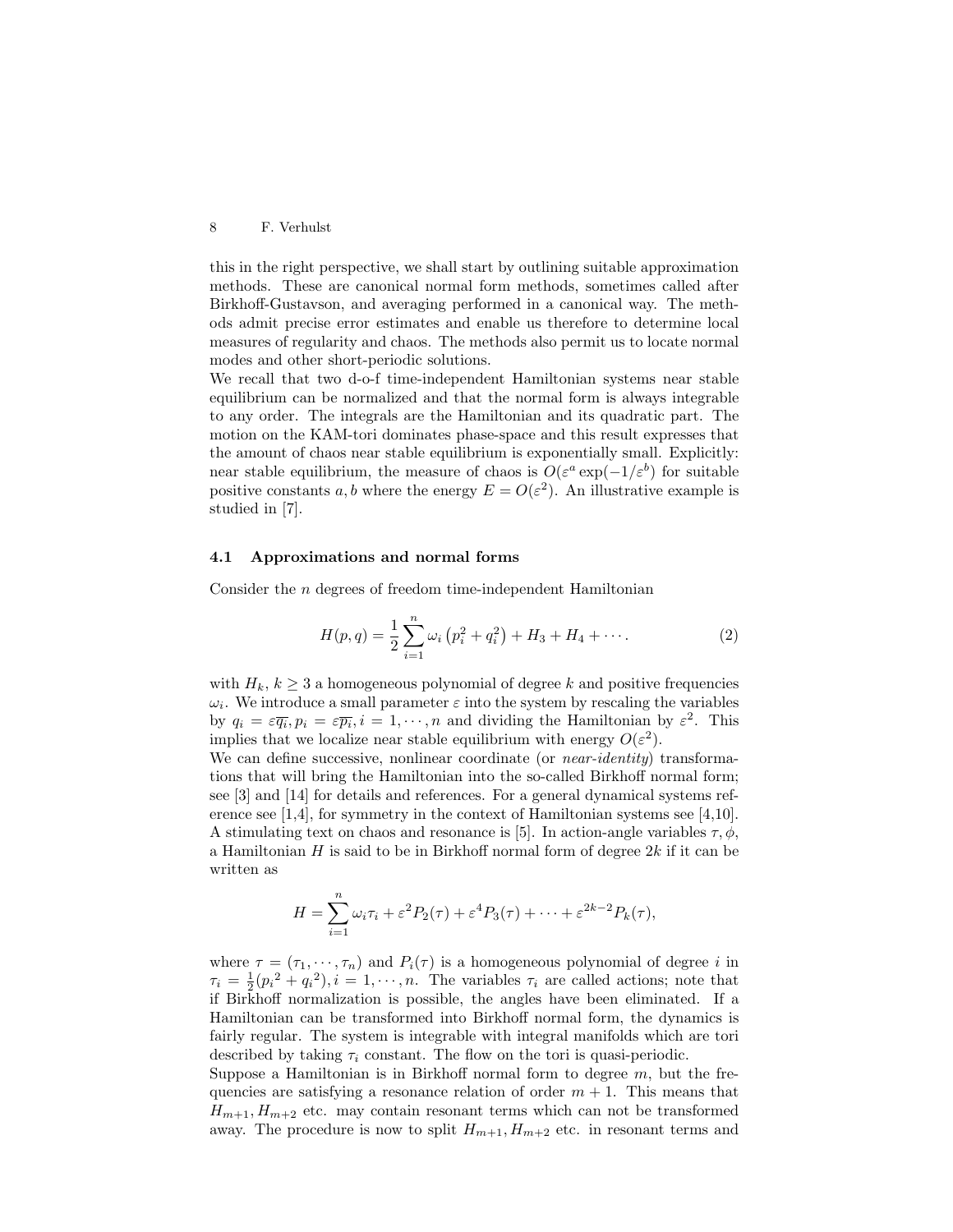this in the right perspective, we shall start by outlining suitable approximation methods. These are canonical normal form methods, sometimes called after Birkhoff-Gustavson, and averaging performed in a canonical way. The methods admit precise error estimates and enable us therefore to determine local measures of regularity and chaos. The methods also permit us to locate normal modes and other short-periodic solutions.

We recall that two d-o-f time-independent Hamiltonian systems near stable equilibrium can be normalized and that the normal form is always integrable to any order. The integrals are the Hamiltonian and its quadratic part. The motion on the KAM-tori dominates phase-space and this result expresses that the amount of chaos near stable equilibrium is exponentially small. Explicitly: near stable equilibrium, the measure of chaos is  $O(\varepsilon^a \exp(-1/\varepsilon^b))$  for suitable positive constants a, b where the energy  $E = O(\varepsilon^2)$ . An illustrative example is studied in [7].

#### 4.1 Approximations and normal forms

Consider the n degrees of freedom time-independent Hamiltonian

$$
H(p,q) = \frac{1}{2} \sum_{i=1}^{n} \omega_i (p_i^2 + q_i^2) + H_3 + H_4 + \cdots
$$
 (2)

with  $H_k, k \geq 3$  a homogeneous polynomial of degree k and positive frequencies  $\omega_i$ . We introduce a small parameter  $\varepsilon$  into the system by rescaling the variables by  $q_i = \varepsilon \overline{q_i}$ ,  $p_i = \varepsilon \overline{p_i}$ ,  $i = 1, \dots, n$  and dividing the Hamiltonian by  $\varepsilon^2$ . This implies that we localize near stable equilibrium with energy  $O(\varepsilon^2)$ .

We can define successive, nonlinear coordinate (or *near-identity*) transformations that will bring the Hamiltonian into the so-called Birkhoff normal form; see [3] and [14] for details and references. For a general dynamical systems reference see [1,4], for symmetry in the context of Hamiltonian systems see [4,10]. A stimulating text on chaos and resonance is [5]. In action-angle variables  $\tau, \phi$ , a Hamiltonian  $H$  is said to be in Birkhoff normal form of degree  $2k$  if it can be written as

$$
H = \sum_{i=1}^{n} \omega_i \tau_i + \varepsilon^2 P_2(\tau) + \varepsilon^4 P_3(\tau) + \dots + \varepsilon^{2k-2} P_k(\tau),
$$

where  $\tau = (\tau_1, \dots, \tau_n)$  and  $P_i(\tau)$  is a homogeneous polynomial of degree i in  $\tau_i = \frac{1}{2}(p_i^2 + q_i^2), i = 1, \dots, n$ . The variables  $\tau_i$  are called actions; note that if Birkhoff normalization is possible, the angles have been eliminated. If a Hamiltonian can be transformed into Birkhoff normal form, the dynamics is fairly regular. The system is integrable with integral manifolds which are tori described by taking  $\tau_i$  constant. The flow on the tori is quasi-periodic.

Suppose a Hamiltonian is in Birkhoff normal form to degree  $m$ , but the frequencies are satisfying a resonance relation of order  $m + 1$ . This means that  $H_{m+1}, H_{m+2}$  etc. may contain resonant terms which can not be transformed away. The procedure is now to split  $H_{m+1}, H_{m+2}$  etc. in resonant terms and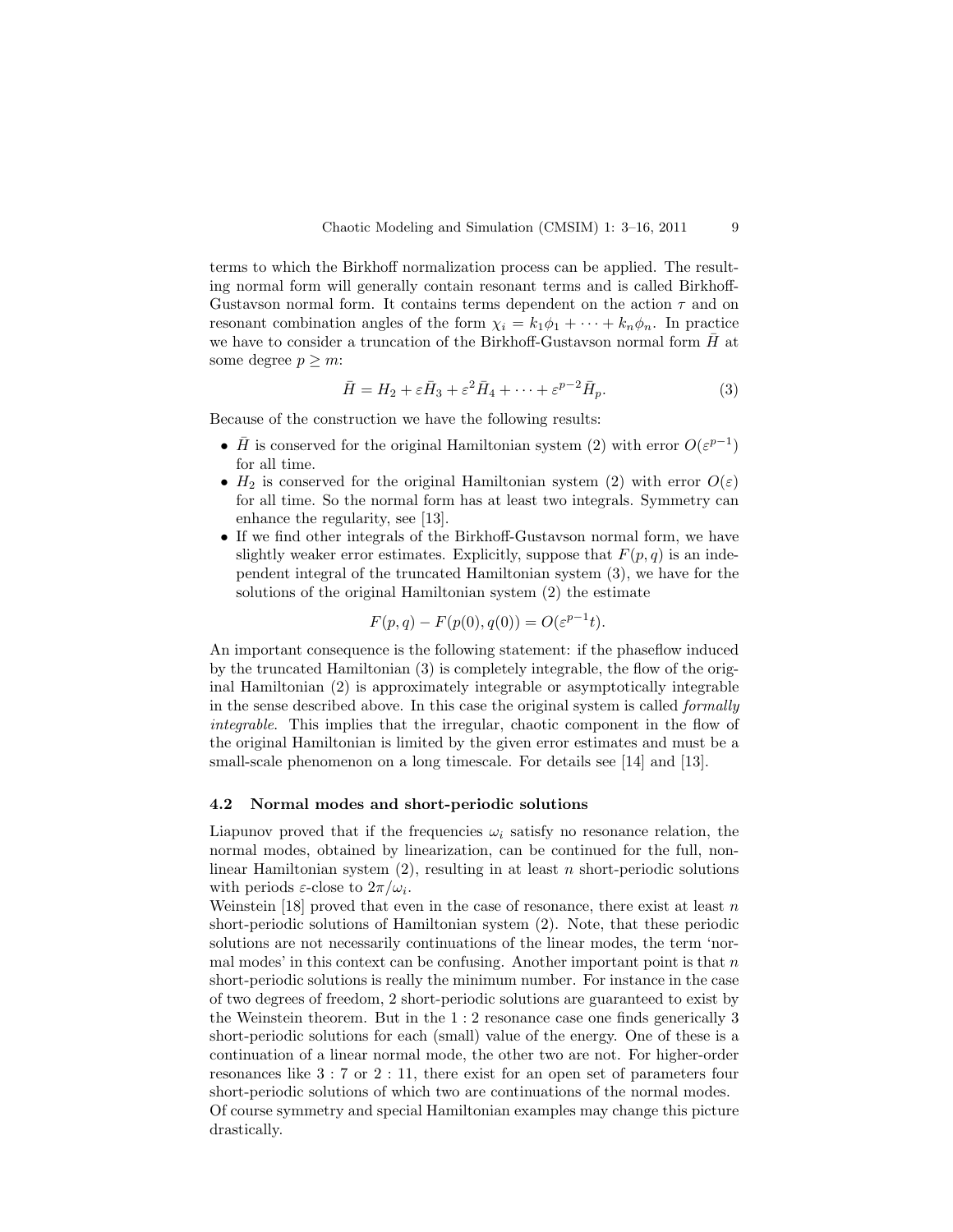terms to which the Birkhoff normalization process can be applied. The resulting normal form will generally contain resonant terms and is called Birkhoff-Gustavson normal form. It contains terms dependent on the action  $\tau$  and on resonant combination angles of the form  $\chi_i = k_1 \phi_1 + \cdots + k_n \phi_n$ . In practice we have to consider a truncation of the Birkhoff-Gustavson normal form  $\bar{H}$  at some degree  $p \geq m$ :

$$
\bar{H} = H_2 + \varepsilon \bar{H}_3 + \varepsilon^2 \bar{H}_4 + \dots + \varepsilon^{p-2} \bar{H}_p.
$$
 (3)

Because of the construction we have the following results:

- $\bar{H}$  is conserved for the original Hamiltonian system (2) with error  $O(\varepsilon^{p-1})$ for all time.
- $H_2$  is conserved for the original Hamiltonian system (2) with error  $O(\varepsilon)$ for all time. So the normal form has at least two integrals. Symmetry can enhance the regularity, see [13].
- If we find other integrals of the Birkhoff-Gustavson normal form, we have slightly weaker error estimates. Explicitly, suppose that  $F(p, q)$  is an independent integral of the truncated Hamiltonian system (3), we have for the solutions of the original Hamiltonian system (2) the estimate

$$
F(p, q) - F(p(0), q(0)) = O(\varepsilon^{p-1}t).
$$

An important consequence is the following statement: if the phaseflow induced by the truncated Hamiltonian (3) is completely integrable, the flow of the original Hamiltonian (2) is approximately integrable or asymptotically integrable in the sense described above. In this case the original system is called formally integrable. This implies that the irregular, chaotic component in the flow of the original Hamiltonian is limited by the given error estimates and must be a small-scale phenomenon on a long timescale. For details see [14] and [13].

### 4.2 Normal modes and short-periodic solutions

Liapunov proved that if the frequencies  $\omega_i$  satisfy no resonance relation, the normal modes, obtained by linearization, can be continued for the full, nonlinear Hamiltonian system  $(2)$ , resulting in at least n short-periodic solutions with periods  $\varepsilon$ -close to  $2\pi/\omega_i$ .

Weinstein [18] proved that even in the case of resonance, there exist at least  $n$ short-periodic solutions of Hamiltonian system (2). Note, that these periodic solutions are not necessarily continuations of the linear modes, the term 'normal modes' in this context can be confusing. Another important point is that  $n$ short-periodic solutions is really the minimum number. For instance in the case of two degrees of freedom, 2 short-periodic solutions are guaranteed to exist by the Weinstein theorem. But in the 1 : 2 resonance case one finds generically 3 short-periodic solutions for each (small) value of the energy. One of these is a continuation of a linear normal mode, the other two are not. For higher-order resonances like 3 : 7 or 2 : 11, there exist for an open set of parameters four short-periodic solutions of which two are continuations of the normal modes. Of course symmetry and special Hamiltonian examples may change this picture drastically.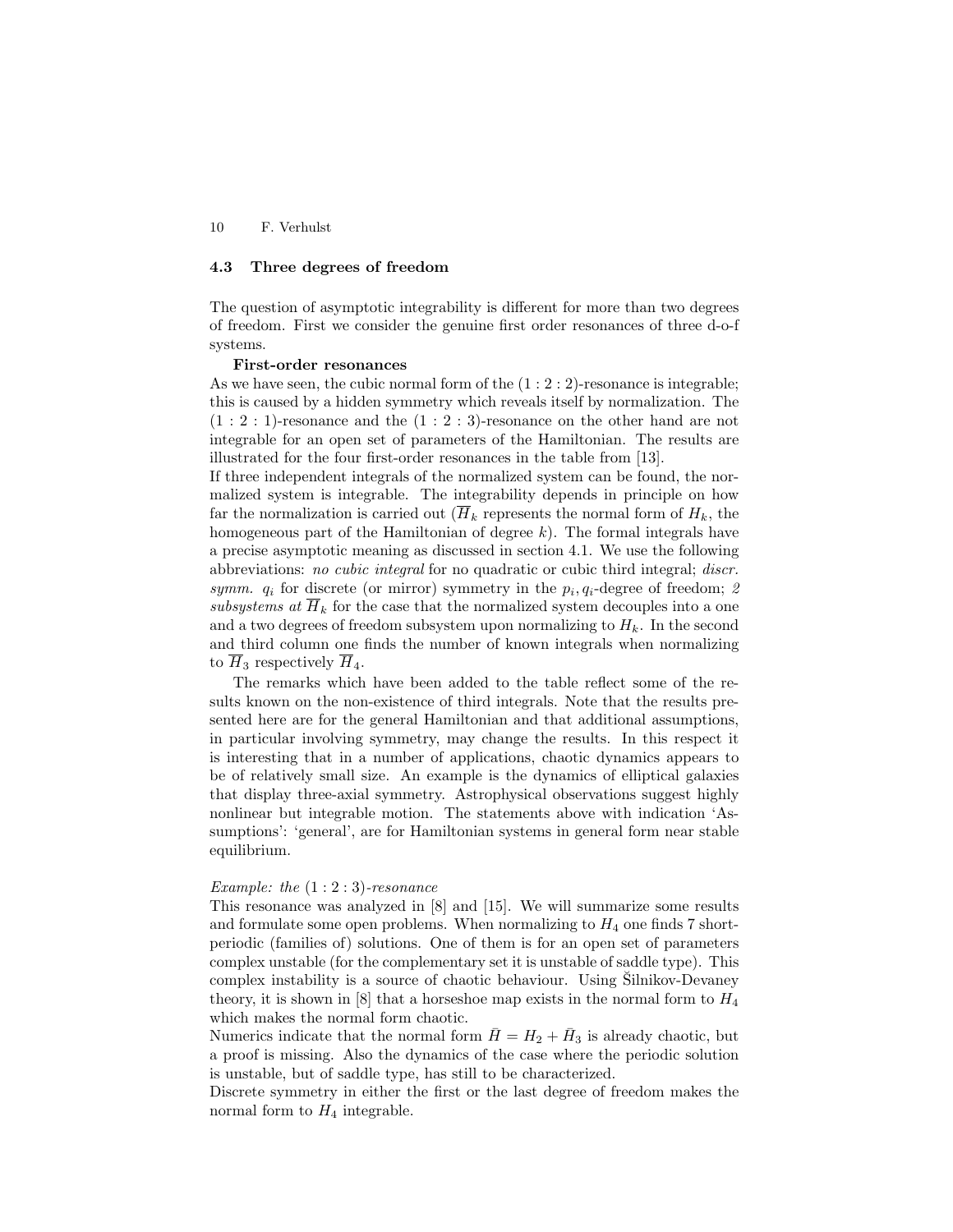# 4.3 Three degrees of freedom

The question of asymptotic integrability is different for more than two degrees of freedom. First we consider the genuine first order resonances of three d-o-f systems.

#### First-order resonances

As we have seen, the cubic normal form of the  $(1:2:2)$ -resonance is integrable; this is caused by a hidden symmetry which reveals itself by normalization. The  $(1:2:1)$ -resonance and the  $(1:2:3)$ -resonance on the other hand are not integrable for an open set of parameters of the Hamiltonian. The results are illustrated for the four first-order resonances in the table from [13].

If three independent integrals of the normalized system can be found, the normalized system is integrable. The integrability depends in principle on how far the normalization is carried out  $(\overline{H}_k)$  represents the normal form of  $H_k$ , the homogeneous part of the Hamiltonian of degree  $k$ ). The formal integrals have a precise asymptotic meaning as discussed in section 4.1. We use the following abbreviations: no cubic integral for no quadratic or cubic third integral; discr. symm.  $q_i$  for discrete (or mirror) symmetry in the  $p_i, q_i$ -degree of freedom; 2 subsystems at  $\overline{H}_k$  for the case that the normalized system decouples into a one and a two degrees of freedom subsystem upon normalizing to  $H_k$ . In the second and third column one finds the number of known integrals when normalizing to  $\overline{H}_3$  respectively  $\overline{H}_4$ .

The remarks which have been added to the table reflect some of the results known on the non-existence of third integrals. Note that the results presented here are for the general Hamiltonian and that additional assumptions, in particular involving symmetry, may change the results. In this respect it is interesting that in a number of applications, chaotic dynamics appears to be of relatively small size. An example is the dynamics of elliptical galaxies that display three-axial symmetry. Astrophysical observations suggest highly nonlinear but integrable motion. The statements above with indication 'Assumptions': 'general', are for Hamiltonian systems in general form near stable equilibrium.

### Example: the  $(1:2:3)$ -resonance

This resonance was analyzed in [8] and [15]. We will summarize some results and formulate some open problems. When normalizing to  $H_4$  one finds 7 shortperiodic (families of) solutions. One of them is for an open set of parameters complex unstable (for the complementary set it is unstable of saddle type). This complex instability is a source of chaotic behaviour. Using Silnikov-Devaney theory, it is shown in  $[8]$  that a horseshoe map exists in the normal form to  $H_4$ which makes the normal form chaotic.

Numerics indicate that the normal form  $\bar{H} = H_2 + \bar{H}_3$  is already chaotic, but a proof is missing. Also the dynamics of the case where the periodic solution is unstable, but of saddle type, has still to be characterized.

Discrete symmetry in either the first or the last degree of freedom makes the normal form to  $H_4$  integrable.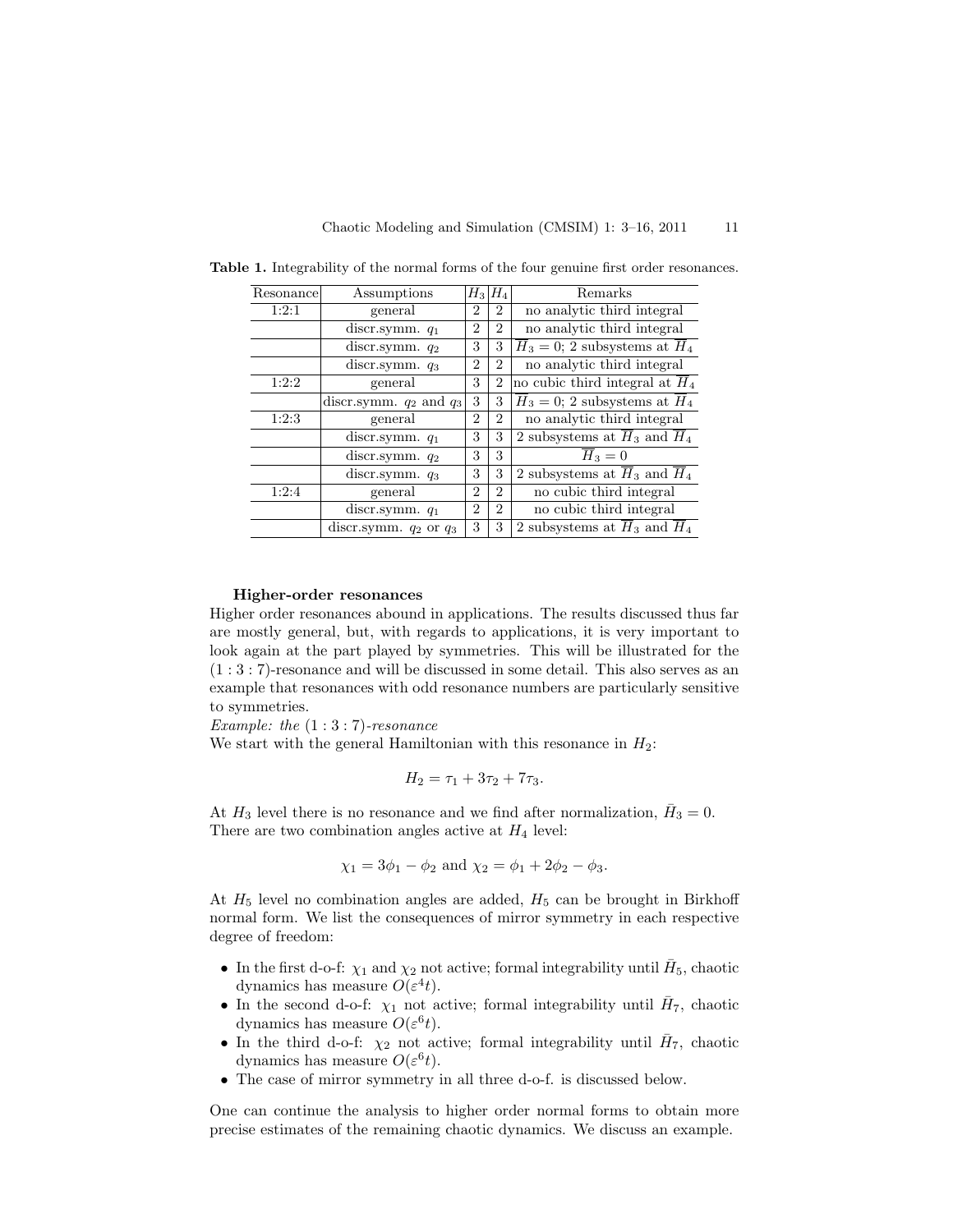| Resonance | Assumptions                 | $H_3$          | $H_4$          | Remarks                                               |
|-----------|-----------------------------|----------------|----------------|-------------------------------------------------------|
| 1:2:1     | general                     | $\overline{2}$ | $\overline{2}$ | no analytic third integral                            |
|           | discr.symm. $q_1$           | 2              | $\overline{2}$ | no analytic third integral                            |
|           | discr.symm. q <sub>2</sub>  | 3              | 3              | $H_3 = 0$ ; 2 subsystems at $H_4$                     |
|           | discr.symm. $q_3$           | $\overline{2}$ | $\overline{2}$ | no analytic third integral                            |
| 1:2:2     | general                     | 3              | $\overline{2}$ | no cubic third integral at $H_4$                      |
|           | discr.symm. $q_2$ and $q_3$ | 3              | 3              | $H_3 = 0$ ; 2 subsystems at $H_4$                     |
| 1:2:3     | general                     | 2              | $\overline{2}$ | no analytic third integral                            |
|           | discr.symm. $q_1$           | 3              | 3              | 2 subsystems at $H_3$ and $H_4$                       |
|           | discr.symm. q <sub>2</sub>  | 3              | 3              | $H_3=0$                                               |
|           | discr.symm. $q_3$           | 3              | 3              | 2 subsystems at $\overline{H}_3$ and $\overline{H}_4$ |
| 1:2:4     | general                     | 2              | $\overline{2}$ | no cubic third integral                               |
|           | discr.symm. $q_1$           | $\overline{2}$ | $\overline{2}$ | no cubic third integral                               |
|           | discr.symm. $q_2$ or $q_3$  | 3              | 3              | 2 subsystems at $H_3$ and $H_4$                       |

Table 1. Integrability of the normal forms of the four genuine first order resonances.

#### Higher-order resonances

Higher order resonances abound in applications. The results discussed thus far are mostly general, but, with regards to applications, it is very important to look again at the part played by symmetries. This will be illustrated for the (1 : 3 : 7)-resonance and will be discussed in some detail. This also serves as an example that resonances with odd resonance numbers are particularly sensitive to symmetries.

Example: the  $(1:3:7)$ -resonance

We start with the general Hamiltonian with this resonance in  $H_2$ :

$$
H_2 = \tau_1 + 3\tau_2 + 7\tau_3.
$$

At  $H_3$  level there is no resonance and we find after normalization,  $\bar{H}_3 = 0$ . There are two combination angles active at  $H_4$  level:

$$
\chi_1 = 3\phi_1 - \phi_2
$$
 and  $\chi_2 = \phi_1 + 2\phi_2 - \phi_3$ .

At  $H_5$  level no combination angles are added,  $H_5$  can be brought in Birkhoff normal form. We list the consequences of mirror symmetry in each respective degree of freedom:

- In the first d-o-f:  $\chi_1$  and  $\chi_2$  not active; formal integrability until  $\bar{H}_5$ , chaotic dynamics has measure  $O(\varepsilon^4 t)$ .
- In the second d-o-f:  $\chi_1$  not active; formal integrability until  $\bar{H}_7$ , chaotic dynamics has measure  $O(\varepsilon^6 t)$ .
- In the third d-o-f:  $\chi_2$  not active; formal integrability until  $\bar{H}_7$ , chaotic dynamics has measure  $O(\varepsilon^6 t)$ .
- The case of mirror symmetry in all three d-o-f. is discussed below.

One can continue the analysis to higher order normal forms to obtain more precise estimates of the remaining chaotic dynamics. We discuss an example.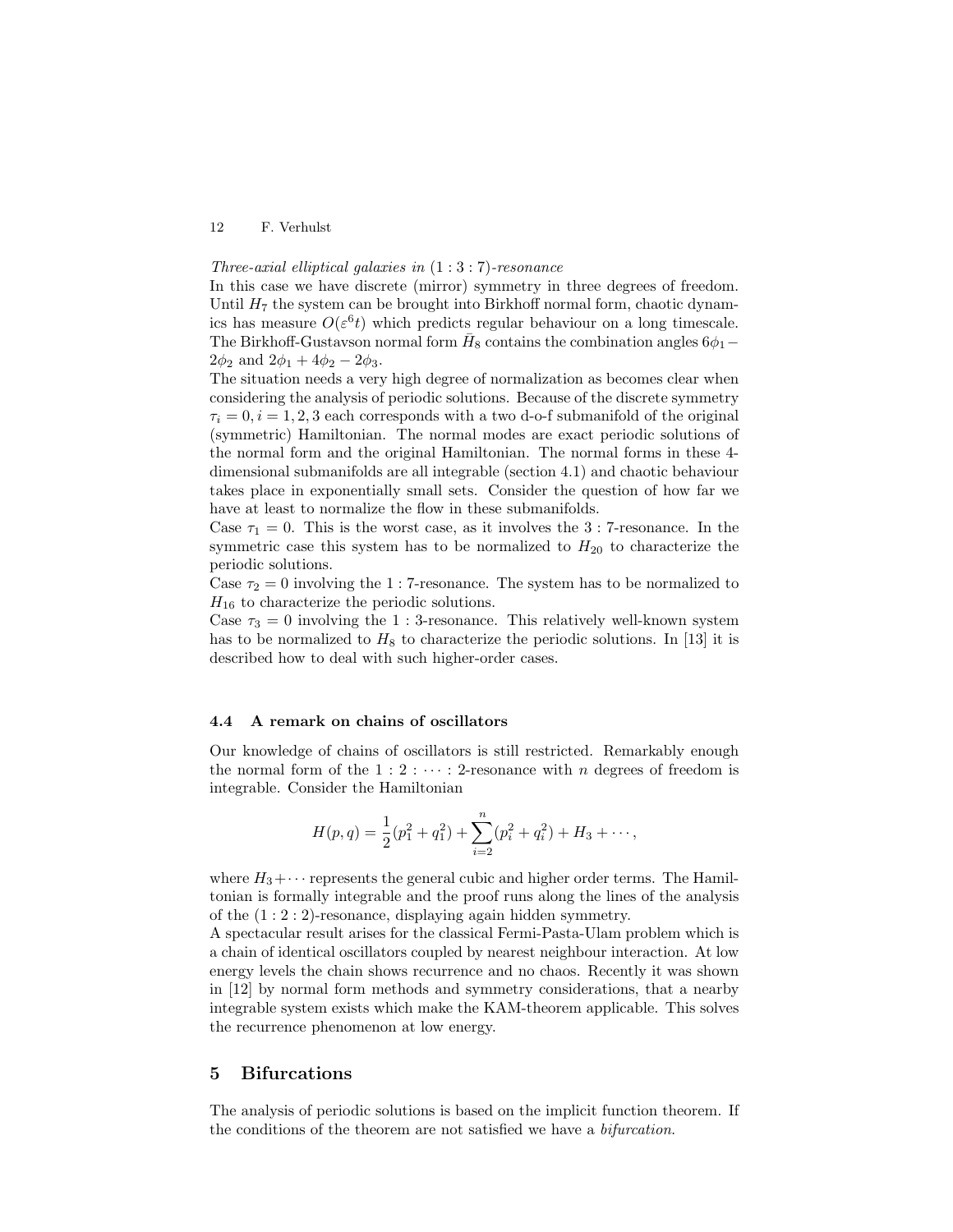## Three-axial elliptical galaxies in  $(1:3:7)$ -resonance

In this case we have discrete (mirror) symmetry in three degrees of freedom. Until  $H_7$  the system can be brought into Birkhoff normal form, chaotic dynamics has measure  $O(\varepsilon^6 t)$  which predicts regular behaviour on a long timescale. The Birkhoff-Gustavson normal form  $\bar{H}_8$  contains the combination angles  $6\phi_1$  –  $2\phi_2$  and  $2\phi_1 + 4\phi_2 - 2\phi_3$ .

The situation needs a very high degree of normalization as becomes clear when considering the analysis of periodic solutions. Because of the discrete symmetry  $\tau_i = 0, i = 1, 2, 3$  each corresponds with a two d-o-f submanifold of the original (symmetric) Hamiltonian. The normal modes are exact periodic solutions of the normal form and the original Hamiltonian. The normal forms in these 4 dimensional submanifolds are all integrable (section 4.1) and chaotic behaviour takes place in exponentially small sets. Consider the question of how far we have at least to normalize the flow in these submanifolds.

Case  $\tau_1 = 0$ . This is the worst case, as it involves the 3 : 7-resonance. In the symmetric case this system has to be normalized to  $H_{20}$  to characterize the periodic solutions.

Case  $\tau_2 = 0$  involving the 1 : 7-resonance. The system has to be normalized to  $H_{16}$  to characterize the periodic solutions.

Case  $\tau_3 = 0$  involving the 1 : 3-resonance. This relatively well-known system has to be normalized to  $H_8$  to characterize the periodic solutions. In [13] it is described how to deal with such higher-order cases.

#### 4.4 A remark on chains of oscillators

Our knowledge of chains of oscillators is still restricted. Remarkably enough the normal form of the  $1:2:\cdots:2$ -resonance with n degrees of freedom is integrable. Consider the Hamiltonian

$$
H(p,q) = \frac{1}{2}(p_1^2 + q_1^2) + \sum_{i=2}^{n} (p_i^2 + q_i^2) + H_3 + \cdots,
$$

where  $H_3 + \cdots$  represents the general cubic and higher order terms. The Hamiltonian is formally integrable and the proof runs along the lines of the analysis of the  $(1:2:2)$ -resonance, displaying again hidden symmetry.

A spectacular result arises for the classical Fermi-Pasta-Ulam problem which is a chain of identical oscillators coupled by nearest neighbour interaction. At low energy levels the chain shows recurrence and no chaos. Recently it was shown in [12] by normal form methods and symmetry considerations, that a nearby integrable system exists which make the KAM-theorem applicable. This solves the recurrence phenomenon at low energy.

### 5 Bifurcations

The analysis of periodic solutions is based on the implicit function theorem. If the conditions of the theorem are not satisfied we have a bifurcation.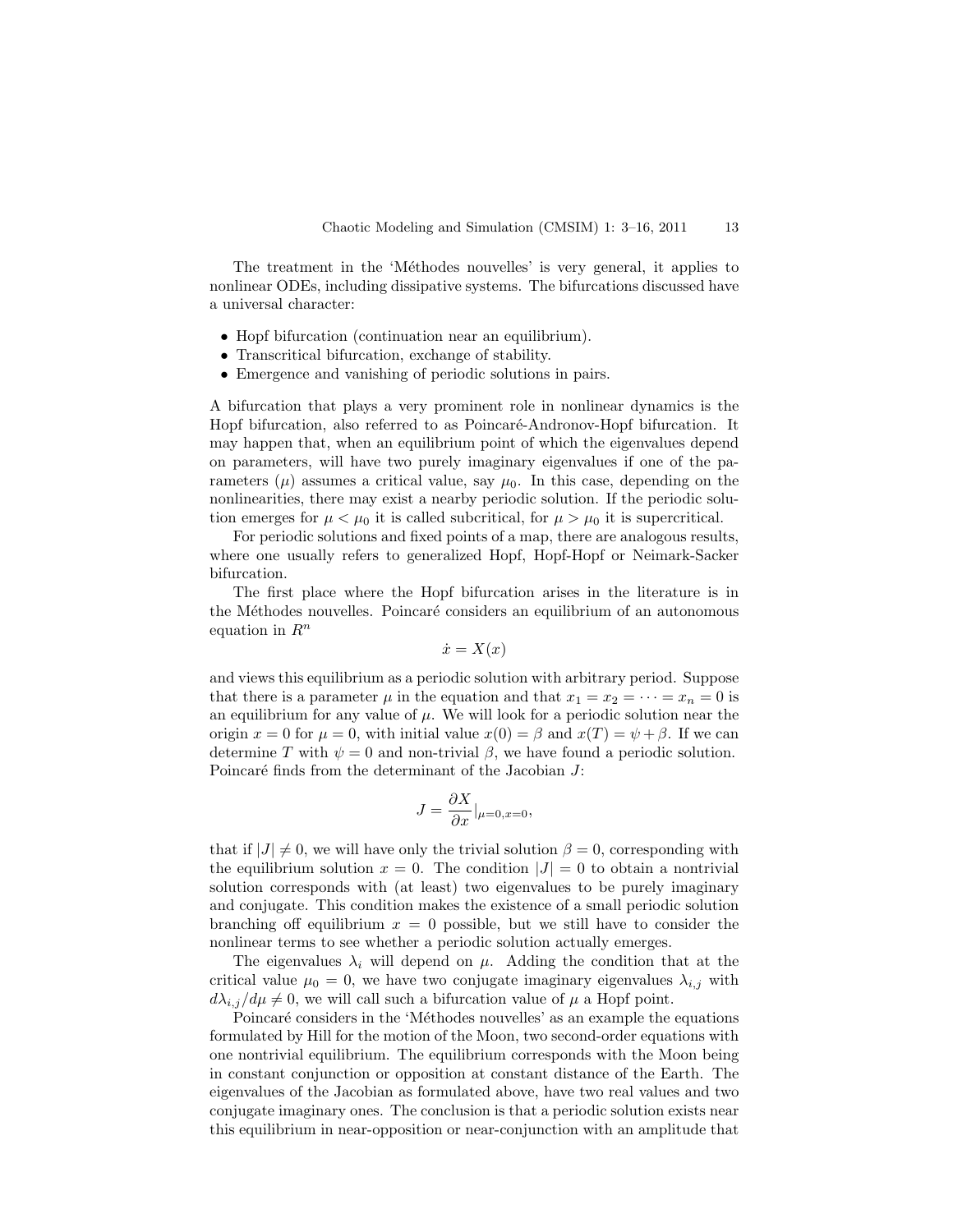The treatment in the 'Méthodes nouvelles' is very general, it applies to nonlinear ODEs, including dissipative systems. The bifurcations discussed have a universal character:

- Hopf bifurcation (continuation near an equilibrium).
- Transcritical bifurcation, exchange of stability.
- Emergence and vanishing of periodic solutions in pairs.

A bifurcation that plays a very prominent role in nonlinear dynamics is the Hopf bifurcation, also referred to as Poincaré-Andronov-Hopf bifurcation. It may happen that, when an equilibrium point of which the eigenvalues depend on parameters, will have two purely imaginary eigenvalues if one of the parameters  $(\mu)$  assumes a critical value, say  $\mu_0$ . In this case, depending on the nonlinearities, there may exist a nearby periodic solution. If the periodic solution emerges for  $\mu < \mu_0$  it is called subcritical, for  $\mu > \mu_0$  it is supercritical.

For periodic solutions and fixed points of a map, there are analogous results, where one usually refers to generalized Hopf, Hopf-Hopf or Neimark-Sacker bifurcation.

The first place where the Hopf bifurcation arises in the literature is in the Méthodes nouvelles. Poincaré considers an equilibrium of an autonomous equation in  $R^n$ 

$$
\dot{x} = X(x)
$$

and views this equilibrium as a periodic solution with arbitrary period. Suppose that there is a parameter  $\mu$  in the equation and that  $x_1 = x_2 = \cdots = x_n = 0$  is an equilibrium for any value of  $\mu$ . We will look for a periodic solution near the origin  $x = 0$  for  $\mu = 0$ , with initial value  $x(0) = \beta$  and  $x(T) = \psi + \beta$ . If we can determine T with  $\psi = 0$  and non-trivial  $\beta$ , we have found a periodic solution. Poincaré finds from the determinant of the Jacobian  $J$ :

$$
J = \frac{\partial X}{\partial x}|_{\mu=0, x=0},
$$

that if  $|J| \neq 0$ , we will have only the trivial solution  $\beta = 0$ , corresponding with the equilibrium solution  $x = 0$ . The condition  $|J| = 0$  to obtain a nontrivial solution corresponds with (at least) two eigenvalues to be purely imaginary and conjugate. This condition makes the existence of a small periodic solution branching off equilibrium  $x = 0$  possible, but we still have to consider the nonlinear terms to see whether a periodic solution actually emerges.

The eigenvalues  $\lambda_i$  will depend on  $\mu$ . Adding the condition that at the critical value  $\mu_0 = 0$ , we have two conjugate imaginary eigenvalues  $\lambda_{i,j}$  with  $d\lambda_{i,j}/d\mu \neq 0$ , we will call such a bifurcation value of  $\mu$  a Hopf point.

Poincaré considers in the 'Méthodes nouvelles' as an example the equations formulated by Hill for the motion of the Moon, two second-order equations with one nontrivial equilibrium. The equilibrium corresponds with the Moon being in constant conjunction or opposition at constant distance of the Earth. The eigenvalues of the Jacobian as formulated above, have two real values and two conjugate imaginary ones. The conclusion is that a periodic solution exists near this equilibrium in near-opposition or near-conjunction with an amplitude that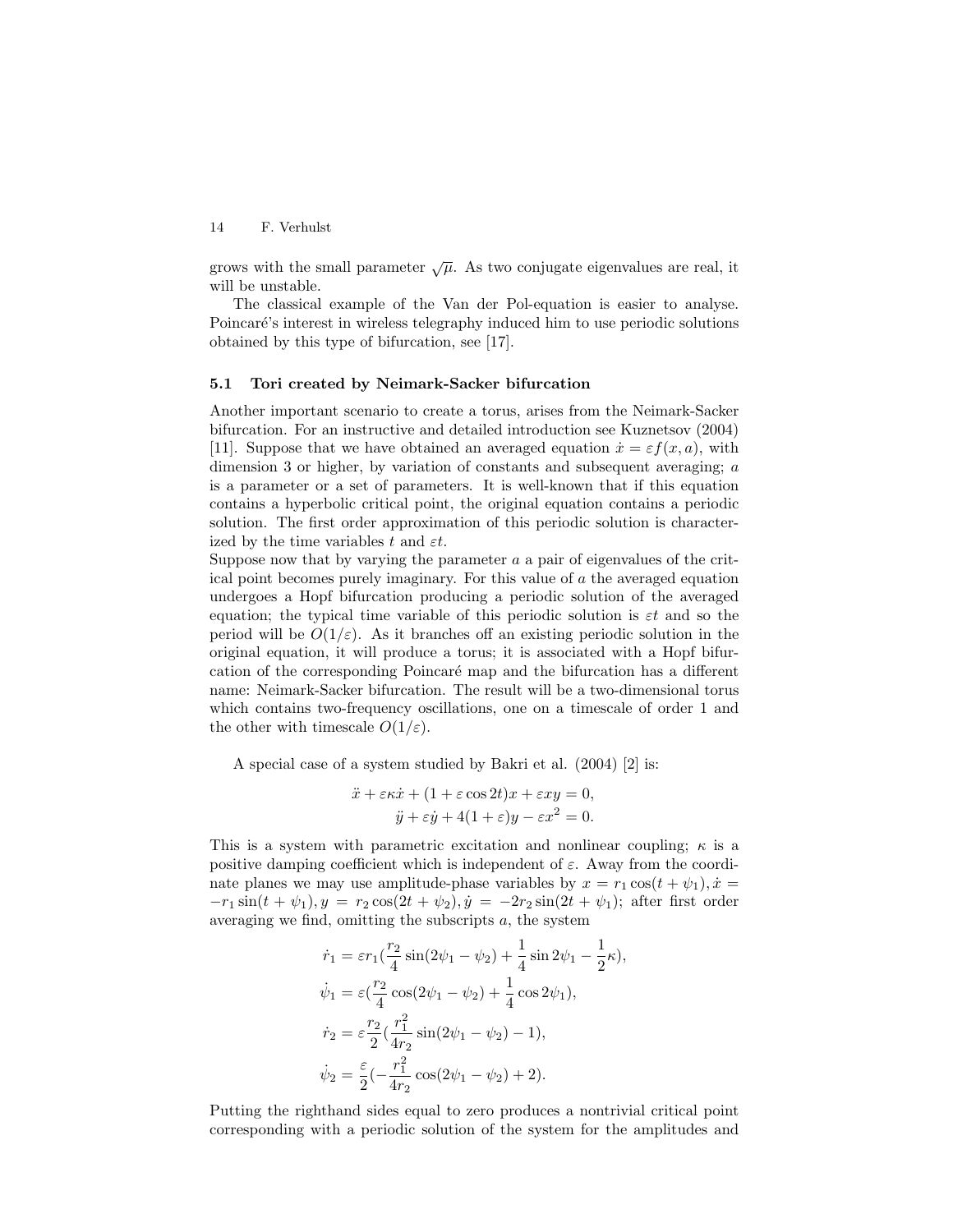grows with the small parameter  $\sqrt{\mu}$ . As two conjugate eigenvalues are real, it will be unstable.

The classical example of the Van der Pol-equation is easier to analyse. Poincaré's interest in wireless telegraphy induced him to use periodic solutions obtained by this type of bifurcation, see [17].

### 5.1 Tori created by Neimark-Sacker bifurcation

Another important scenario to create a torus, arises from the Neimark-Sacker bifurcation. For an instructive and detailed introduction see Kuznetsov (2004) [11]. Suppose that we have obtained an averaged equation  $\dot{x} = \varepsilon f(x, a)$ , with dimension 3 or higher, by variation of constants and subsequent averaging; a is a parameter or a set of parameters. It is well-known that if this equation contains a hyperbolic critical point, the original equation contains a periodic solution. The first order approximation of this periodic solution is characterized by the time variables t and  $\varepsilon t$ .

Suppose now that by varying the parameter  $a$  a pair of eigenvalues of the critical point becomes purely imaginary. For this value of a the averaged equation undergoes a Hopf bifurcation producing a periodic solution of the averaged equation; the typical time variable of this periodic solution is  $\varepsilon t$  and so the period will be  $O(1/\varepsilon)$ . As it branches off an existing periodic solution in the original equation, it will produce a torus; it is associated with a Hopf bifurcation of the corresponding Poincaré map and the bifurcation has a different name: Neimark-Sacker bifurcation. The result will be a two-dimensional torus which contains two-frequency oscillations, one on a timescale of order 1 and the other with timescale  $O(1/\varepsilon)$ .

A special case of a system studied by Bakri et al. (2004) [2] is:

$$
\ddot{x} + \varepsilon \kappa \dot{x} + (1 + \varepsilon \cos 2t)x + \varepsilon xy = 0,
$$
  

$$
\ddot{y} + \varepsilon \dot{y} + 4(1 + \varepsilon)y - \varepsilon x^2 = 0.
$$

This is a system with parametric excitation and nonlinear coupling;  $\kappa$  is a positive damping coefficient which is independent of  $\varepsilon$ . Away from the coordinate planes we may use amplitude-phase variables by  $x = r_1 \cos(t + \psi_1), \dot{x} =$  $-r_1 \sin(t + \psi_1), y = r_2 \cos(2t + \psi_2), \dot{y} = -2r_2 \sin(2t + \psi_1);$  after first order averaging we find, omitting the subscripts  $a$ , the system

$$
\dot{r}_1 = \varepsilon r_1 \left(\frac{r_2}{4}\sin(2\psi_1 - \psi_2) + \frac{1}{4}\sin 2\psi_1 - \frac{1}{2}\kappa\right),
$$
  
\n
$$
\dot{\psi}_1 = \varepsilon \left(\frac{r_2}{4}\cos(2\psi_1 - \psi_2) + \frac{1}{4}\cos 2\psi_1\right),
$$
  
\n
$$
\dot{r}_2 = \varepsilon \frac{r_2}{2} \left(\frac{r_1^2}{4r_2}\sin(2\psi_1 - \psi_2) - 1\right),
$$
  
\n
$$
\dot{\psi}_2 = \frac{\varepsilon}{2} \left(-\frac{r_1^2}{4r_2}\cos(2\psi_1 - \psi_2) + 2\right).
$$

Putting the righthand sides equal to zero produces a nontrivial critical point corresponding with a periodic solution of the system for the amplitudes and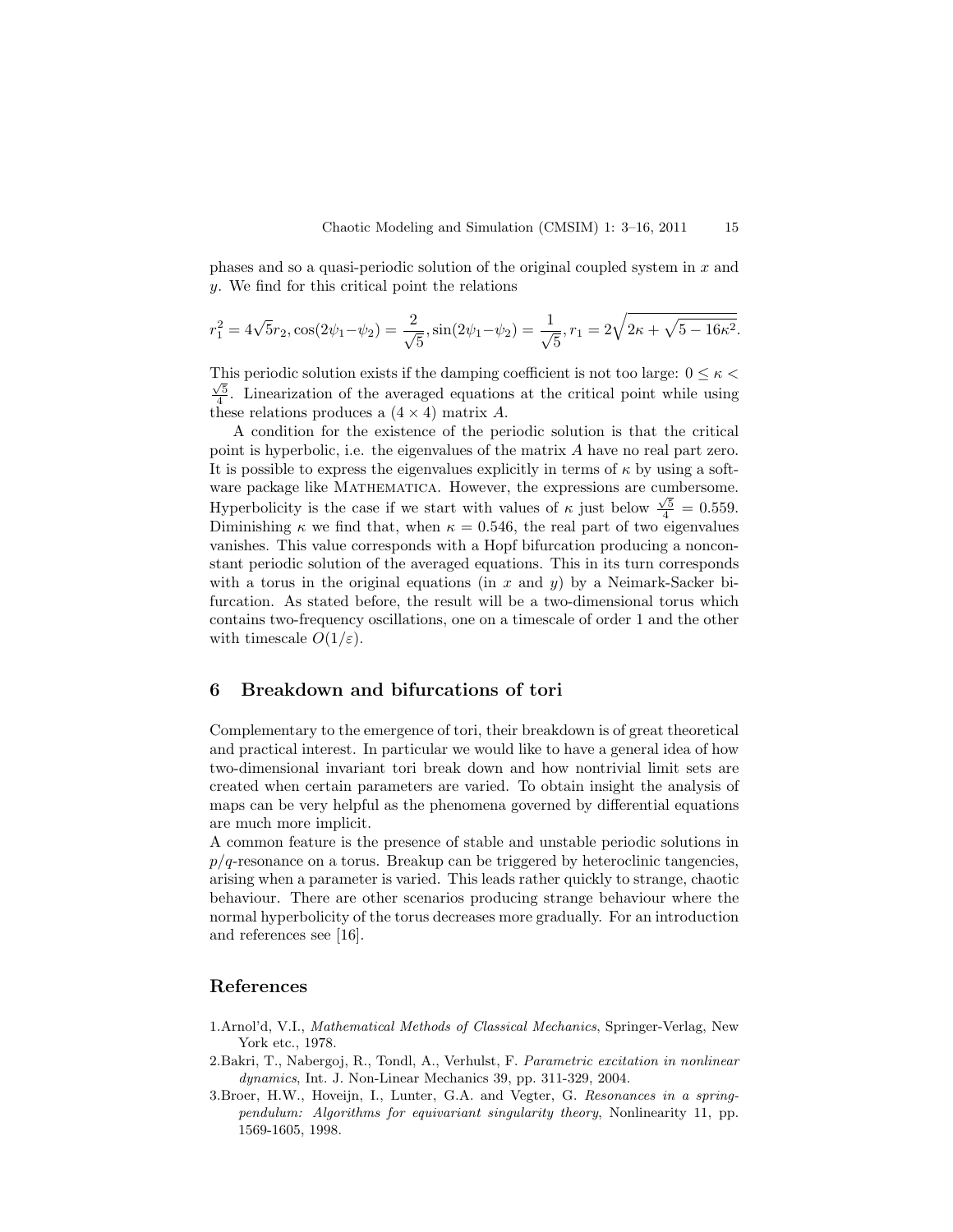phases and so a quasi-periodic solution of the original coupled system in  $x$  and y. We find for this critical point the relations

$$
r_1^2 = 4\sqrt{5}r_2, \cos(2\psi_1 - \psi_2) = \frac{2}{\sqrt{5}}, \sin(2\psi_1 - \psi_2) = \frac{1}{\sqrt{5}}, r_1 = 2\sqrt{2\kappa + \sqrt{5 - 16\kappa^2}}.
$$

This periodic solution exists if the damping coefficient is not too large:  $0 \leq \kappa$  $\frac{\sqrt{5}}{4}$ . Linearization of the averaged equations at the critical point while using these relations produces a  $(4 \times 4)$  matrix A.

A condition for the existence of the periodic solution is that the critical point is hyperbolic, i.e. the eigenvalues of the matrix A have no real part zero. It is possible to express the eigenvalues explicitly in terms of  $\kappa$  by using a software package like MATHEMATICA. However, the expressions are cumbersome. Hyperbolicity is the case if we start with values of  $\kappa$  just below  $\frac{\sqrt{5}}{4} = 0.559$ . Diminishing  $\kappa$  we find that, when  $\kappa = 0.546$ , the real part of two eigenvalues vanishes. This value corresponds with a Hopf bifurcation producing a nonconstant periodic solution of the averaged equations. This in its turn corresponds with a torus in the original equations (in  $x$  and  $y$ ) by a Neimark-Sacker bifurcation. As stated before, the result will be a two-dimensional torus which contains two-frequency oscillations, one on a timescale of order 1 and the other with timescale  $O(1/\varepsilon)$ .

# 6 Breakdown and bifurcations of tori

Complementary to the emergence of tori, their breakdown is of great theoretical and practical interest. In particular we would like to have a general idea of how two-dimensional invariant tori break down and how nontrivial limit sets are created when certain parameters are varied. To obtain insight the analysis of maps can be very helpful as the phenomena governed by differential equations are much more implicit.

A common feature is the presence of stable and unstable periodic solutions in  $p/q$ -resonance on a torus. Breakup can be triggered by heteroclinic tangencies, arising when a parameter is varied. This leads rather quickly to strange, chaotic behaviour. There are other scenarios producing strange behaviour where the normal hyperbolicity of the torus decreases more gradually. For an introduction and references see [16].

# References

- 1.Arnol'd, V.I., Mathematical Methods of Classical Mechanics, Springer-Verlag, New York etc., 1978.
- 2.Bakri, T., Nabergoj, R., Tondl, A., Verhulst, F. Parametric excitation in nonlinear dynamics, Int. J. Non-Linear Mechanics 39, pp. 311-329, 2004.
- 3.Broer, H.W., Hoveijn, I., Lunter, G.A. and Vegter, G. Resonances in a springpendulum: Algorithms for equivariant singularity theory, Nonlinearity 11, pp. 1569-1605, 1998.